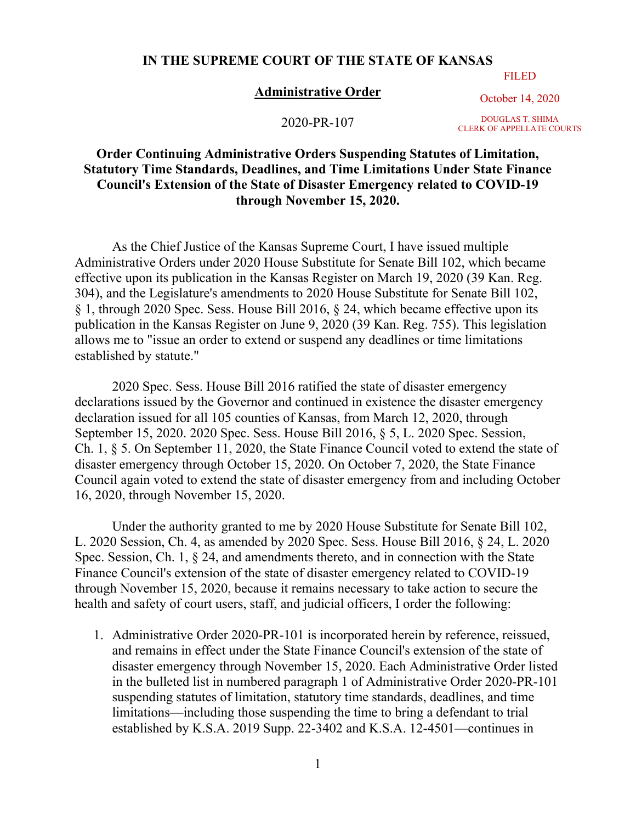## **IN THE SUPREME COURT OF THE STATE OF KANSAS**

## FILED

## **Administrative Order**

October 14, 2020

2020-PR-107

DOUGLAS T. SHIMA CLERK OF APPELLATE COURTS

## **Order Continuing Administrative Orders Suspending Statutes of Limitation, Statutory Time Standards, Deadlines, and Time Limitations Under State Finance Council's Extension of the State of Disaster Emergency related to COVID-19 through November 15, 2020.**

As the Chief Justice of the Kansas Supreme Court, I have issued multiple Administrative Orders under 2020 House Substitute for Senate Bill 102, which became effective upon its publication in the Kansas Register on March 19, 2020 (39 Kan. Reg. 304), and the Legislature's amendments to 2020 House Substitute for Senate Bill 102, § 1, through 2020 Spec. Sess. House Bill 2016, § 24, which became effective upon its publication in the Kansas Register on June 9, 2020 (39 Kan. Reg. 755). This legislation allows me to "issue an order to extend or suspend any deadlines or time limitations established by statute."

2020 Spec. Sess. House Bill 2016 ratified the state of disaster emergency declarations issued by the Governor and continued in existence the disaster emergency declaration issued for all 105 counties of Kansas, from March 12, 2020, through September 15, 2020. 2020 Spec. Sess. House Bill 2016, § 5, L. 2020 Spec. Session, Ch. 1, § 5. On September 11, 2020, the State Finance Council voted to extend the state of disaster emergency through October 15, 2020. On October 7, 2020, the State Finance Council again voted to extend the state of disaster emergency from and including October 16, 2020, through November 15, 2020.

Under the authority granted to me by 2020 House Substitute for Senate Bill 102, L. 2020 Session, Ch. 4, as amended by 2020 Spec. Sess. House Bill 2016, § 24, L. 2020 Spec. Session, Ch. 1, § 24, and amendments thereto, and in connection with the State Finance Council's extension of the state of disaster emergency related to COVID-19 through November 15, 2020, because it remains necessary to take action to secure the health and safety of court users, staff, and judicial officers, I order the following:

1. Administrative Order 2020-PR-101 is incorporated herein by reference, reissued, and remains in effect under the State Finance Council's extension of the state of disaster emergency through November 15, 2020. Each Administrative Order listed in the bulleted list in numbered paragraph 1 of Administrative Order 2020-PR-101 suspending statutes of limitation, statutory time standards, deadlines, and time limitations—including those suspending the time to bring a defendant to trial established by K.S.A. 2019 Supp. 22-3402 and K.S.A. 12-4501—continues in